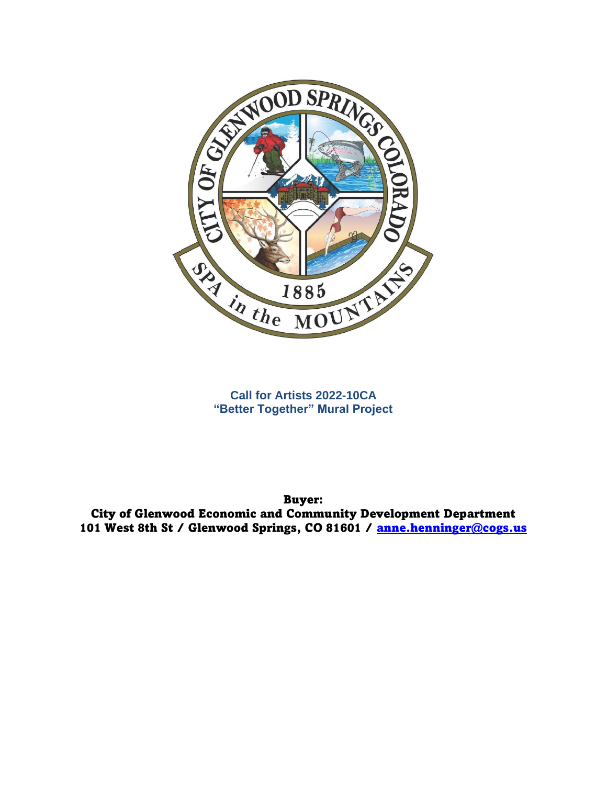

**Call for Artists 2022-10CA "Better Together" Mural Project**

Buyer: City of Glenwood Economic and Community Development Department 101 West 8th St / Glenwood Springs, CO 81601 / [anne.henninger@cogs.us](mailto:anne.henninger@cogs.us)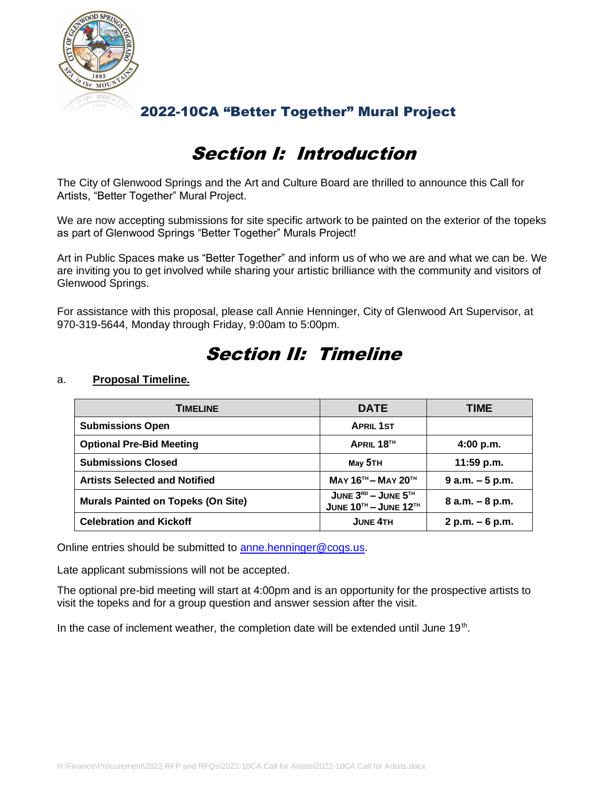

## Section I: Introduction

The City of Glenwood Springs and the Art and Culture Board are thrilled to announce this Call for Artists, "Better Together" Mural Project.

We are now accepting submissions for site specific artwork to be painted on the exterior of the topeks as part of Glenwood Springs "Better Together" Murals Project!

Art in Public Spaces make us "Better Together" and inform us of who we are and what we can be. We are inviting you to get involved while sharing your artistic brilliance with the community and visitors of Glenwood Springs.

For assistance with this proposal, please call Annie Henninger, City of Glenwood Art Supervisor, at 970-319-5644, Monday through Friday, 9:00am to 5:00pm.

# a. **Proposal Timeline.**

Section II: Timeline

| <b>TIMELINE</b>                           | <b>DATE</b>                                                | <b>TIME</b>        |
|-------------------------------------------|------------------------------------------------------------|--------------------|
| <b>Submissions Open</b>                   | <b>APRIL 1ST</b>                                           |                    |
| <b>Optional Pre-Bid Meeting</b>           | APRIL 18TH                                                 | 4:00 p.m.          |
| <b>Submissions Closed</b>                 | May 5TH                                                    | $11:59$ p.m.       |
| <b>Artists Selected and Notified</b>      | $MAY 16TH - MAY 20TH$                                      | $9 a.m. - 5 p.m.$  |
| <b>Murals Painted on Topeks (On Site)</b> | JUNE $3RD -$ JUNE $5TH$<br>JUNE $10^{TH}$ – JUNE $12^{TH}$ | $8$ a.m. $-8$ p.m. |
| <b>Celebration and Kickoff</b>            | <b>JUNE 4TH</b>                                            | $2 p.m. - 6 p.m.$  |

Online entries should be submitted to [anne.henninger@cogs.us.](mailto:anne.henninger@cogs.us)

Late applicant submissions will not be accepted.

The optional pre-bid meeting will start at 4:00pm and is an opportunity for the prospective artists to visit the topeks and for a group question and answer session after the visit.

In the case of inclement weather, the completion date will be extended until June 19<sup>th</sup>.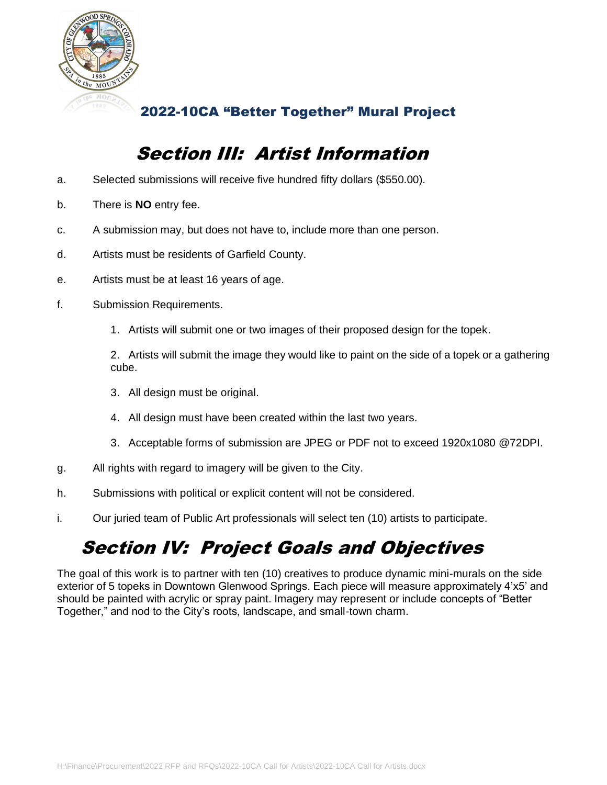

### Section III: Artist Information

- a. Selected submissions will receive five hundred fifty dollars (\$550.00).
- b. There is **NO** entry fee.
- c. A submission may, but does not have to, include more than one person.
- d. Artists must be residents of Garfield County.
- e. Artists must be at least 16 years of age.
- f. Submission Requirements.
	- 1. Artists will submit one or two images of their proposed design for the topek.

2. Artists will submit the image they would like to paint on the side of a topek or a gathering cube.

- 3. All design must be original.
- 4. All design must have been created within the last two years.
- 3. Acceptable forms of submission are JPEG or PDF not to exceed 1920x1080 @72DPI.
- g. All rights with regard to imagery will be given to the City.
- h. Submissions with political or explicit content will not be considered.
- i. Our juried team of Public Art professionals will select ten (10) artists to participate.

## Section IV: Project Goals and Objectives

The goal of this work is to partner with ten (10) creatives to produce dynamic mini-murals on the side exterior of 5 topeks in Downtown Glenwood Springs. Each piece will measure approximately 4'x5' and should be painted with acrylic or spray paint. Imagery may represent or include concepts of "Better Together," and nod to the City's roots, landscape, and small-town charm.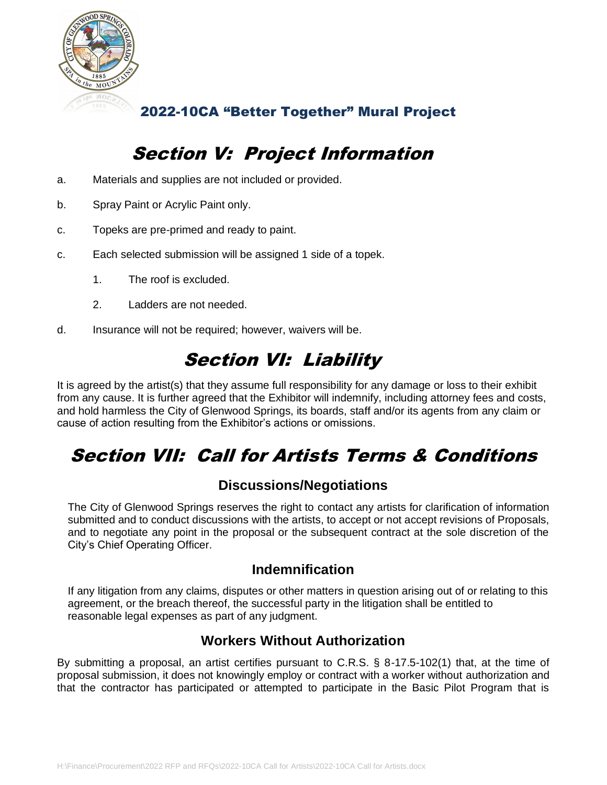

### Section V: Project Information

- a. Materials and supplies are not included or provided.
- b. Spray Paint or Acrylic Paint only.
- c. Topeks are pre-primed and ready to paint.
- c. Each selected submission will be assigned 1 side of a topek.
	- 1. The roof is excluded.
	- 2. Ladders are not needed.
- d. Insurance will not be required; however, waivers will be.

### Section VI: Liability

It is agreed by the artist(s) that they assume full responsibility for any damage or loss to their exhibit from any cause. It is further agreed that the Exhibitor will indemnify, including attorney fees and costs, and hold harmless the City of Glenwood Springs, its boards, staff and/or its agents from any claim or cause of action resulting from the Exhibitor's actions or omissions.

# Section VII: Call for Artists Terms & Conditions

#### **Discussions/Negotiations**

The City of Glenwood Springs reserves the right to contact any artists for clarification of information submitted and to conduct discussions with the artists, to accept or not accept revisions of Proposals, and to negotiate any point in the proposal or the subsequent contract at the sole discretion of the City's Chief Operating Officer.

#### **Indemnification**

If any litigation from any claims, disputes or other matters in question arising out of or relating to this agreement, or the breach thereof, the successful party in the litigation shall be entitled to reasonable legal expenses as part of any judgment.

#### **Workers Without Authorization**

By submitting a proposal, an artist certifies pursuant to C.R.S. § 8-17.5-102(1) that, at the time of proposal submission, it does not knowingly employ or contract with a worker without authorization and that the contractor has participated or attempted to participate in the Basic Pilot Program that is